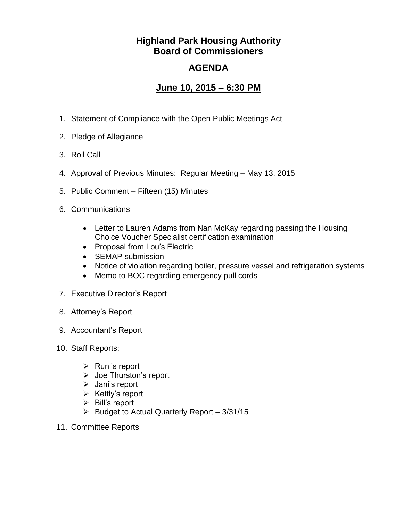## **Highland Park Housing Authority Board of Commissioners**

## **AGENDA**

## **June 10, 2015 – 6:30 PM**

- 1. Statement of Compliance with the Open Public Meetings Act
- 2. Pledge of Allegiance
- 3. Roll Call
- 4. Approval of Previous Minutes: Regular Meeting May 13, 2015
- 5. Public Comment Fifteen (15) Minutes
- 6. Communications
	- Letter to Lauren Adams from Nan McKay regarding passing the Housing Choice Voucher Specialist certification examination
	- Proposal from Lou's Electric
	- SEMAP submission
	- Notice of violation regarding boiler, pressure vessel and refrigeration systems
	- Memo to BOC regarding emergency pull cords
- 7. Executive Director's Report
- 8. Attorney's Report
- 9. Accountant's Report
- 10. Staff Reports:
	- $\triangleright$  Runi's report
	- Joe Thurston's report
	- $\triangleright$  Jani's report
	- $\triangleright$  Kettly's report
	- $\triangleright$  Bill's report
	- $\triangleright$  Budget to Actual Quarterly Report 3/31/15
- 11. Committee Reports